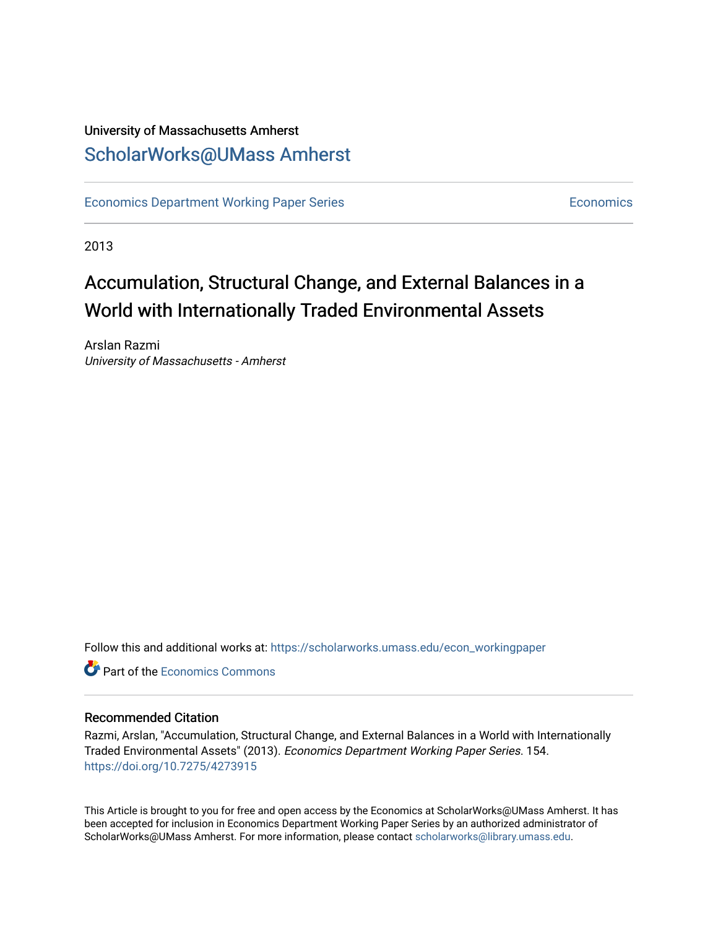# University of Massachusetts Amherst [ScholarWorks@UMass Amherst](https://scholarworks.umass.edu/)

[Economics Department Working Paper Series](https://scholarworks.umass.edu/econ_workingpaper) **Economics** [Economics](https://scholarworks.umass.edu/economics) Economics

2013

# Accumulation, Structural Change, and External Balances in a World with Internationally Traded Environmental Assets

Arslan Razmi University of Massachusetts - Amherst

Follow this and additional works at: [https://scholarworks.umass.edu/econ\\_workingpaper](https://scholarworks.umass.edu/econ_workingpaper?utm_source=scholarworks.umass.edu%2Fecon_workingpaper%2F154&utm_medium=PDF&utm_campaign=PDFCoverPages) 

**C** Part of the [Economics Commons](http://network.bepress.com/hgg/discipline/340?utm_source=scholarworks.umass.edu%2Fecon_workingpaper%2F154&utm_medium=PDF&utm_campaign=PDFCoverPages)

### Recommended Citation

Razmi, Arslan, "Accumulation, Structural Change, and External Balances in a World with Internationally Traded Environmental Assets" (2013). Economics Department Working Paper Series. 154. <https://doi.org/10.7275/4273915>

This Article is brought to you for free and open access by the Economics at ScholarWorks@UMass Amherst. It has been accepted for inclusion in Economics Department Working Paper Series by an authorized administrator of ScholarWorks@UMass Amherst. For more information, please contact [scholarworks@library.umass.edu.](mailto:scholarworks@library.umass.edu)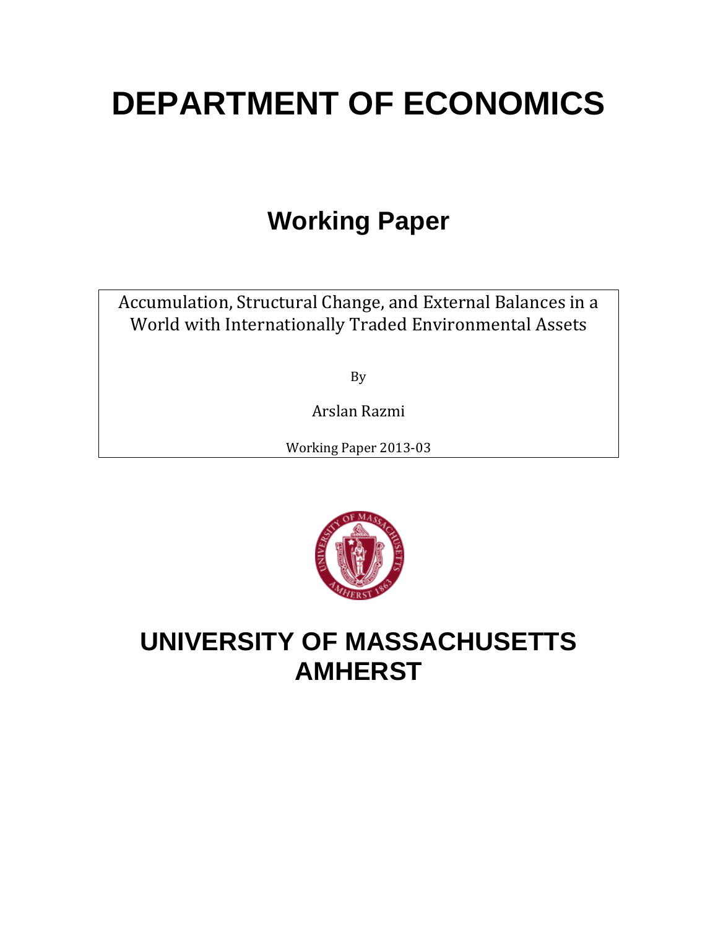# **DEPARTMENT OF ECONOMICS**

# **Working Paper**

Accumulation, Structural Change, and External Balances in a World with Internationally Traded Environmental Assets

By

Arslan Razmi

Working Paper 2013-03



# **UNIVERSITY OF MASSACHUSETTS AMHERST**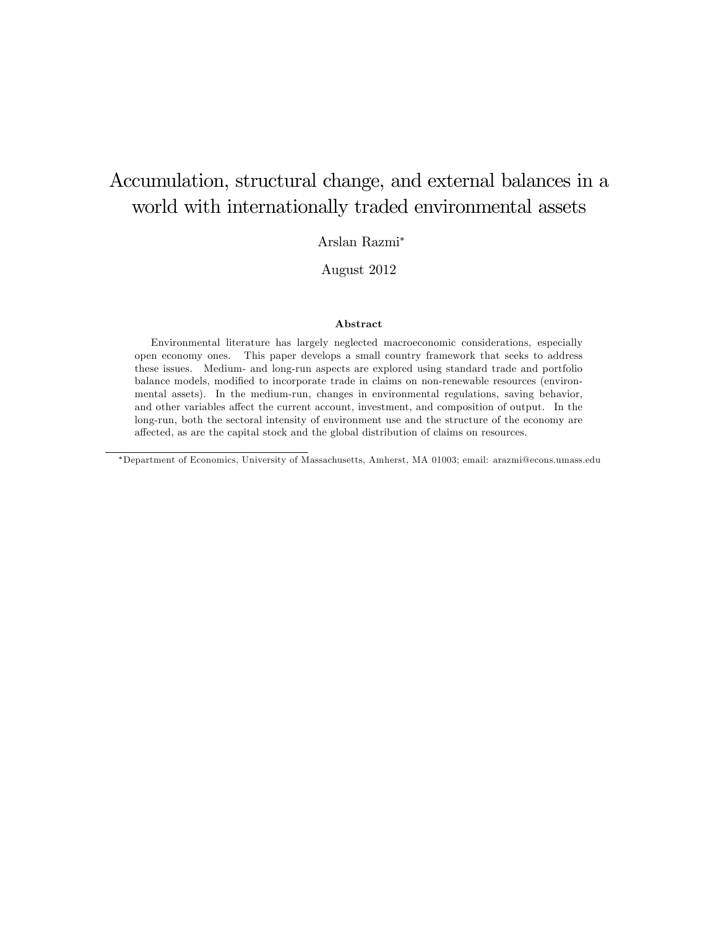# Accumulation, structural change, and external balances in a world with internationally traded environmental assets

### Arslan Razmi

August 2012

#### Abstract

Environmental literature has largely neglected macroeconomic considerations, especially open economy ones. This paper develops a small country framework that seeks to address these issues. Medium- and long-run aspects are explored using standard trade and portfolio balance models, modified to incorporate trade in claims on non-renewable resources (environmental assets). In the medium-run, changes in environmental regulations, saving behavior, and other variables affect the current account, investment, and composition of output. In the long-run, both the sectoral intensity of environment use and the structure of the economy are affected, as are the capital stock and the global distribution of claims on resources.

Department of Economics, University of Massachusetts, Amherst, MA 01003; email: arazmi@econs.umass.edu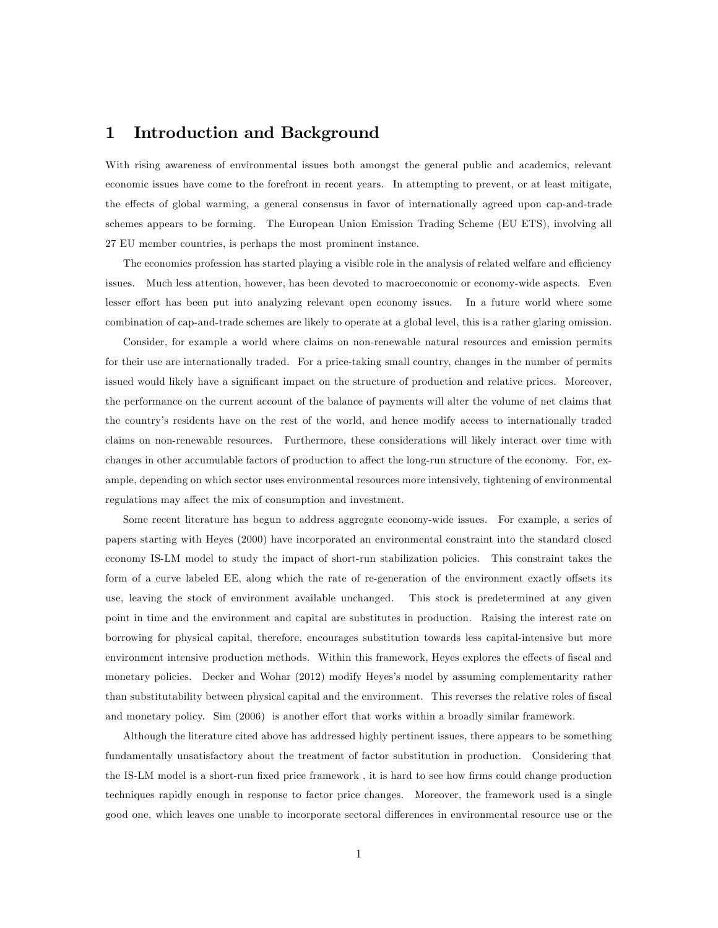## 1 Introduction and Background

With rising awareness of environmental issues both amongst the general public and academics, relevant economic issues have come to the forefront in recent years. In attempting to prevent, or at least mitigate, the effects of global warming, a general consensus in favor of internationally agreed upon cap-and-trade schemes appears to be forming. The European Union Emission Trading Scheme (EU ETS), involving all 27 EU member countries, is perhaps the most prominent instance.

The economics profession has started playing a visible role in the analysis of related welfare and efficiency issues. Much less attention, however, has been devoted to macroeconomic or economy-wide aspects. Even lesser effort has been put into analyzing relevant open economy issues. In a future world where some combination of cap-and-trade schemes are likely to operate at a global level, this is a rather glaring omission.

Consider, for example a world where claims on non-renewable natural resources and emission permits for their use are internationally traded. For a price-taking small country, changes in the number of permits issued would likely have a significant impact on the structure of production and relative prices. Moreover, the performance on the current account of the balance of payments will alter the volume of net claims that the countryís residents have on the rest of the world, and hence modify access to internationally traded claims on non-renewable resources. Furthermore, these considerations will likely interact over time with changes in other accumulable factors of production to affect the long-run structure of the economy. For, example, depending on which sector uses environmental resources more intensively, tightening of environmental regulations may affect the mix of consumption and investment.

Some recent literature has begun to address aggregate economy-wide issues. For example, a series of papers starting with Heyes (2000) have incorporated an environmental constraint into the standard closed economy IS-LM model to study the impact of short-run stabilization policies. This constraint takes the form of a curve labeled EE, along which the rate of re-generation of the environment exactly offsets its use, leaving the stock of environment available unchanged. This stock is predetermined at any given point in time and the environment and capital are substitutes in production. Raising the interest rate on borrowing for physical capital, therefore, encourages substitution towards less capital-intensive but more environment intensive production methods. Within this framework, Heyes explores the effects of fiscal and monetary policies. Decker and Wohar (2012) modify Heyes's model by assuming complementarity rather than substitutability between physical capital and the environment. This reverses the relative roles of fiscal and monetary policy. Sim (2006) is another effort that works within a broadly similar framework.

Although the literature cited above has addressed highly pertinent issues, there appears to be something fundamentally unsatisfactory about the treatment of factor substitution in production. Considering that the IS-LM model is a short-run fixed price framework, it is hard to see how firms could change production techniques rapidly enough in response to factor price changes. Moreover, the framework used is a single good one, which leaves one unable to incorporate sectoral differences in environmental resource use or the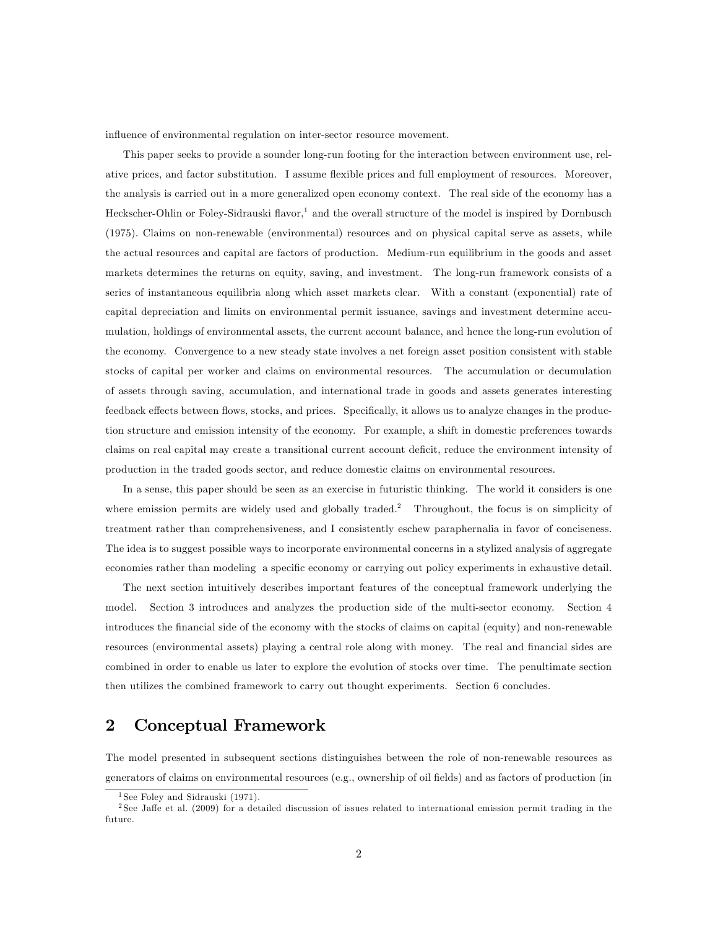influence of environmental regulation on inter-sector resource movement.

This paper seeks to provide a sounder long-run footing for the interaction between environment use, relative prices, and factor substitution. I assume flexible prices and full employment of resources. Moreover, the analysis is carried out in a more generalized open economy context. The real side of the economy has a Heckscher-Ohlin or Foley-Sidrauski flavor,<sup>1</sup> and the overall structure of the model is inspired by Dornbusch (1975). Claims on non-renewable (environmental) resources and on physical capital serve as assets, while the actual resources and capital are factors of production. Medium-run equilibrium in the goods and asset markets determines the returns on equity, saving, and investment. The long-run framework consists of a series of instantaneous equilibria along which asset markets clear. With a constant (exponential) rate of capital depreciation and limits on environmental permit issuance, savings and investment determine accumulation, holdings of environmental assets, the current account balance, and hence the long-run evolution of the economy. Convergence to a new steady state involves a net foreign asset position consistent with stable stocks of capital per worker and claims on environmental resources. The accumulation or decumulation of assets through saving, accumulation, and international trade in goods and assets generates interesting feedback effects between flows, stocks, and prices. Specifically, it allows us to analyze changes in the production structure and emission intensity of the economy. For example, a shift in domestic preferences towards claims on real capital may create a transitional current account deficit, reduce the environment intensity of production in the traded goods sector, and reduce domestic claims on environmental resources.

In a sense, this paper should be seen as an exercise in futuristic thinking. The world it considers is one where emission permits are widely used and globally traded.<sup>2</sup> Throughout, the focus is on simplicity of treatment rather than comprehensiveness, and I consistently eschew paraphernalia in favor of conciseness. The idea is to suggest possible ways to incorporate environmental concerns in a stylized analysis of aggregate economies rather than modeling a specific economy or carrying out policy experiments in exhaustive detail.

The next section intuitively describes important features of the conceptual framework underlying the model. Section 3 introduces and analyzes the production side of the multi-sector economy. Section 4 introduces the Önancial side of the economy with the stocks of claims on capital (equity) and non-renewable resources (environmental assets) playing a central role along with money. The real and financial sides are combined in order to enable us later to explore the evolution of stocks over time. The penultimate section then utilizes the combined framework to carry out thought experiments. Section 6 concludes.

# 2 Conceptual Framework

The model presented in subsequent sections distinguishes between the role of non-renewable resources as generators of claims on environmental resources (e.g., ownership of oil fields) and as factors of production (in

<sup>&</sup>lt;sup>1</sup> See Foley and Sidrauski (1971).

 $2$ See Jaffe et al. (2009) for a detailed discussion of issues related to international emission permit trading in the future.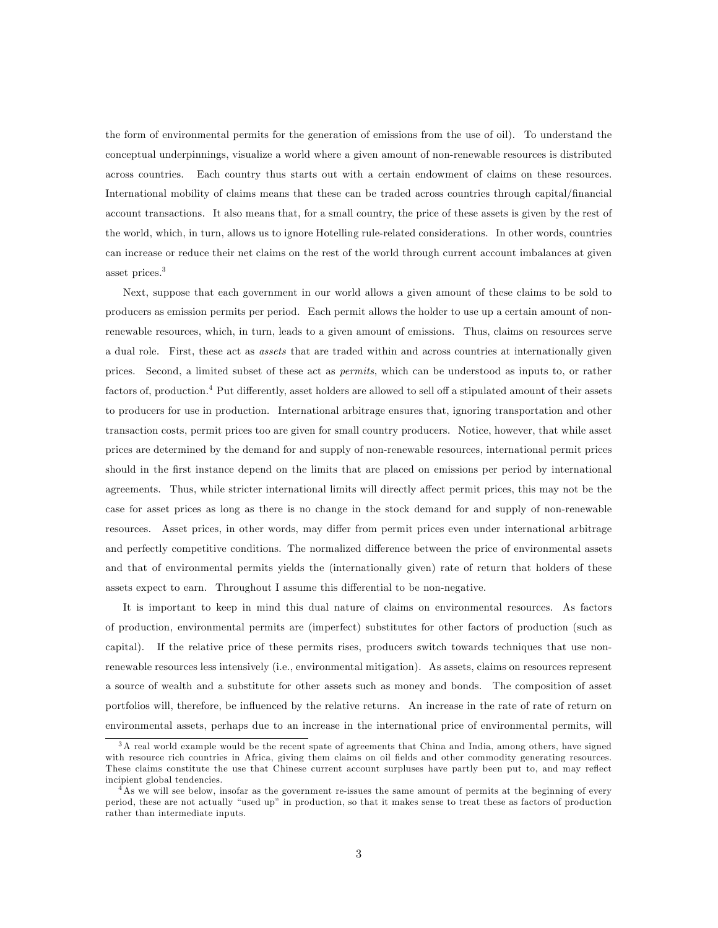the form of environmental permits for the generation of emissions from the use of oil). To understand the conceptual underpinnings, visualize a world where a given amount of non-renewable resources is distributed across countries. Each country thus starts out with a certain endowment of claims on these resources. International mobility of claims means that these can be traded across countries through capital/Önancial account transactions. It also means that, for a small country, the price of these assets is given by the rest of the world, which, in turn, allows us to ignore Hotelling rule-related considerations. In other words, countries can increase or reduce their net claims on the rest of the world through current account imbalances at given asset prices.<sup>3</sup>

Next, suppose that each government in our world allows a given amount of these claims to be sold to producers as emission permits per period. Each permit allows the holder to use up a certain amount of nonrenewable resources, which, in turn, leads to a given amount of emissions. Thus, claims on resources serve a dual role. First, these act as assets that are traded within and across countries at internationally given prices. Second, a limited subset of these act as permits, which can be understood as inputs to, or rather factors of, production.<sup>4</sup> Put differently, asset holders are allowed to sell off a stipulated amount of their assets to producers for use in production. International arbitrage ensures that, ignoring transportation and other transaction costs, permit prices too are given for small country producers. Notice, however, that while asset prices are determined by the demand for and supply of non-renewable resources, international permit prices should in the first instance depend on the limits that are placed on emissions per period by international agreements. Thus, while stricter international limits will directly affect permit prices, this may not be the case for asset prices as long as there is no change in the stock demand for and supply of non-renewable resources. Asset prices, in other words, may differ from permit prices even under international arbitrage and perfectly competitive conditions. The normalized difference between the price of environmental assets and that of environmental permits yields the (internationally given) rate of return that holders of these assets expect to earn. Throughout I assume this differential to be non-negative.

It is important to keep in mind this dual nature of claims on environmental resources. As factors of production, environmental permits are (imperfect) substitutes for other factors of production (such as capital). If the relative price of these permits rises, producers switch towards techniques that use nonrenewable resources less intensively (i.e., environmental mitigation). As assets, claims on resources represent a source of wealth and a substitute for other assets such as money and bonds. The composition of asset portfolios will, therefore, be influenced by the relative returns. An increase in the rate of rate of return on environmental assets, perhaps due to an increase in the international price of environmental permits, will

<sup>3</sup>A real world example would be the recent spate of agreements that China and India, among others, have signed with resource rich countries in Africa, giving them claims on oil fields and other commodity generating resources. These claims constitute the use that Chinese current account surpluses have partly been put to, and may reflect incipient global tendencies.

<sup>&</sup>lt;sup>4</sup>As we will see below, insofar as the government re-issues the same amount of permits at the beginning of every period, these are not actually "used up" in production, so that it makes sense to treat these as factors of production rather than intermediate inputs.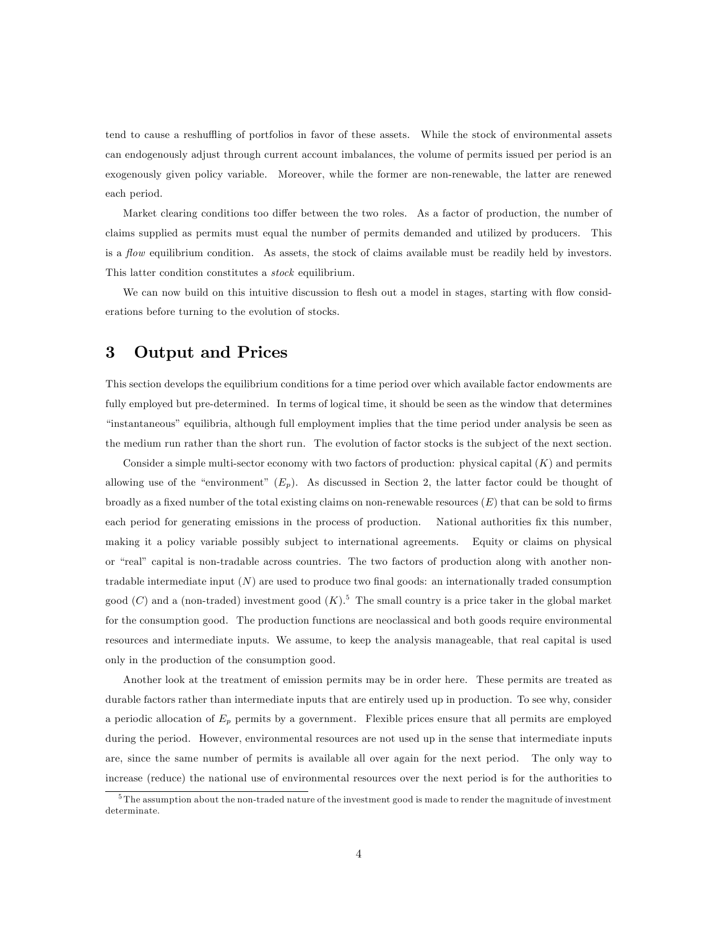tend to cause a reshuffling of portfolios in favor of these assets. While the stock of environmental assets can endogenously adjust through current account imbalances, the volume of permits issued per period is an exogenously given policy variable. Moreover, while the former are non-renewable, the latter are renewed each period.

Market clearing conditions too differ between the two roles. As a factor of production, the number of claims supplied as permits must equal the number of permits demanded and utilized by producers. This is a *flow* equilibrium condition. As assets, the stock of claims available must be readily held by investors. This latter condition constitutes a stock equilibrium.

We can now build on this intuitive discussion to flesh out a model in stages, starting with flow considerations before turning to the evolution of stocks.

## 3 Output and Prices

This section develops the equilibrium conditions for a time period over which available factor endowments are fully employed but pre-determined. In terms of logical time, it should be seen as the window that determines ìinstantaneousîequilibria, although full employment implies that the time period under analysis be seen as the medium run rather than the short run. The evolution of factor stocks is the subject of the next section.

Consider a simple multi-sector economy with two factors of production: physical capital  $(K)$  and permits allowing use of the "environment"  $(E_p)$ . As discussed in Section 2, the latter factor could be thought of broadly as a fixed number of the total existing claims on non-renewable resources  $(E)$  that can be sold to firms each period for generating emissions in the process of production. National authorities fix this number, making it a policy variable possibly subject to international agreements. Equity or claims on physical or "real" capital is non-tradable across countries. The two factors of production along with another nontradable intermediate input  $(N)$  are used to produce two final goods: an internationally traded consumption good  $(C)$  and a (non-traded) investment good  $(K)$ .<sup>5</sup> The small country is a price taker in the global market for the consumption good. The production functions are neoclassical and both goods require environmental resources and intermediate inputs. We assume, to keep the analysis manageable, that real capital is used only in the production of the consumption good.

Another look at the treatment of emission permits may be in order here. These permits are treated as durable factors rather than intermediate inputs that are entirely used up in production. To see why, consider a periodic allocation of  $E_p$  permits by a government. Flexible prices ensure that all permits are employed during the period. However, environmental resources are not used up in the sense that intermediate inputs are, since the same number of permits is available all over again for the next period. The only way to increase (reduce) the national use of environmental resources over the next period is for the authorities to

 $5$ The assumption about the non-traded nature of the investment good is made to render the magnitude of investment determinate.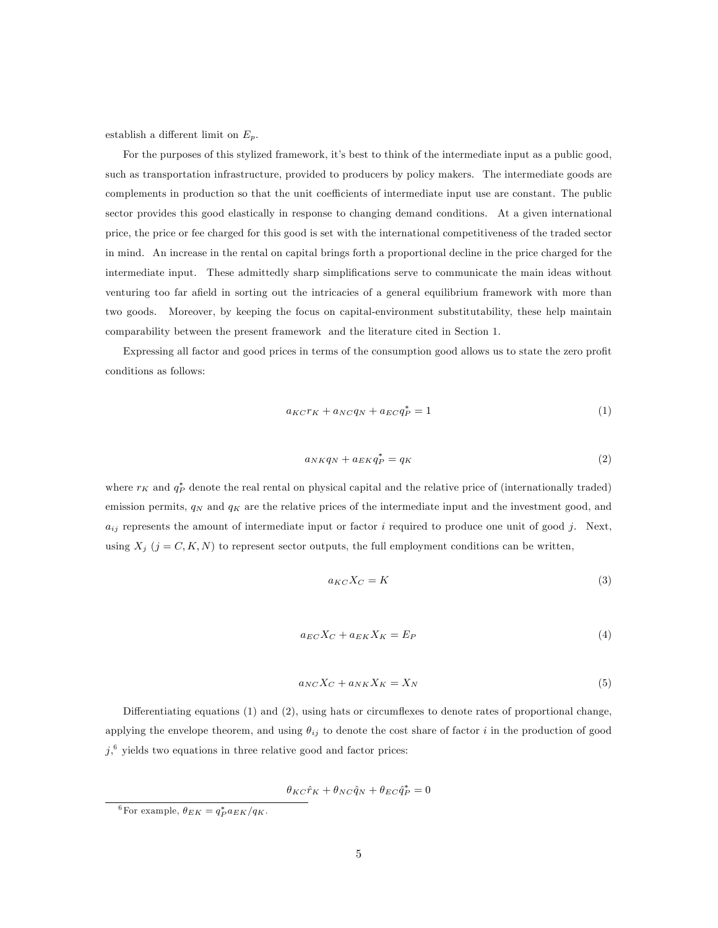establish a different limit on  $E_p$ .

For the purposes of this stylized framework, it's best to think of the intermediate input as a public good, such as transportation infrastructure, provided to producers by policy makers. The intermediate goods are complements in production so that the unit coefficients of intermediate input use are constant. The public sector provides this good elastically in response to changing demand conditions. At a given international price, the price or fee charged for this good is set with the international competitiveness of the traded sector in mind. An increase in the rental on capital brings forth a proportional decline in the price charged for the intermediate input. These admittedly sharp simplifications serve to communicate the main ideas without venturing too far afield in sorting out the intricacies of a general equilibrium framework with more than two goods. Moreover, by keeping the focus on capital-environment substitutability, these help maintain comparability between the present framework and the literature cited in Section 1.

Expressing all factor and good prices in terms of the consumption good allows us to state the zero profit conditions as follows:

$$
a_{KCTK} + a_{NC}q_N + a_{EC}q_P^* = 1
$$
\n<sup>(1)</sup>

$$
a_{NK}q_N + a_{EK}q_P^* = q_K \tag{2}
$$

where  $r_K$  and  $q_P^*$  denote the real rental on physical capital and the relative price of (internationally traded) emission permits,  $q_N$  and  $q_K$  are the relative prices of the intermediate input and the investment good, and  $a_{ij}$  represents the amount of intermediate input or factor i required to produce one unit of good j. Next, using  $X_j$  ( $j = C, K, N$ ) to represent sector outputs, the full employment conditions can be written,

$$
a_{KC}X_C = K \tag{3}
$$

$$
a_{EC}X_C + a_{EK}X_K = E_P \tag{4}
$$

$$
a_{NC}X_C + a_{NK}X_K = X_N \tag{5}
$$

Differentiating equations  $(1)$  and  $(2)$ , using hats or circumflexes to denote rates of proportional change, applying the envelope theorem, and using  $\theta_{ij}$  to denote the cost share of factor i in the production of good  $j<sub>0</sub><sup>6</sup>$  yields two equations in three relative good and factor prices:

$$
\theta_{KC}\hat{r}_K + \theta_{NC}\hat{q}_N + \theta_{EC}\hat{q}_P^* = 0
$$

<sup>&</sup>lt;sup>6</sup>For example,  $\theta_{EK} = q_P^* a_{EK} / q_K$ .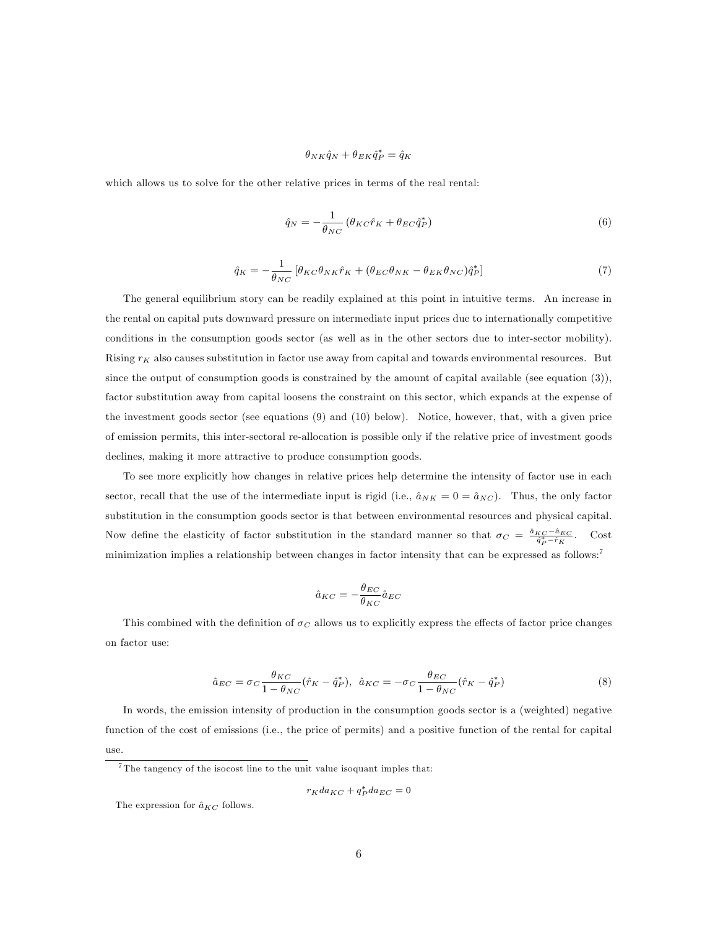$$
\theta_{NK}\hat{q}_N + \theta_{EK}\hat{q}_P^* = \hat{q}_K
$$

which allows us to solve for the other relative prices in terms of the real rental:

$$
\hat{q}_N = -\frac{1}{\theta_{NC}} \left( \theta_{KC} \hat{r}_K + \theta_{EC} \hat{q}_P^* \right) \tag{6}
$$

$$
\hat{q}_K = -\frac{1}{\theta_{NC}} \left[ \theta_{KC} \theta_{NK} \hat{r}_K + (\theta_{EC} \theta_{NK} - \theta_{EK} \theta_{NC}) \hat{q}_P^* \right]
$$
(7)

The general equilibrium story can be readily explained at this point in intuitive terms. An increase in the rental on capital puts downward pressure on intermediate input prices due to internationally competitive conditions in the consumption goods sector (as well as in the other sectors due to inter-sector mobility). Rising  $r_K$  also causes substitution in factor use away from capital and towards environmental resources. But since the output of consumption goods is constrained by the amount of capital available (see equation (3)), factor substitution away from capital loosens the constraint on this sector, which expands at the expense of the investment goods sector (see equations (9) and (10) below). Notice, however, that, with a given price of emission permits, this inter-sectoral re-allocation is possible only if the relative price of investment goods declines, making it more attractive to produce consumption goods.

To see more explicitly how changes in relative prices help determine the intensity of factor use in each sector, recall that the use of the intermediate input is rigid (i.e.,  $\hat{a}_{NK} = 0 = \hat{a}_{NC}$ ). Thus, the only factor substitution in the consumption goods sector is that between environmental resources and physical capital. Now define the elasticity of factor substitution in the standard manner so that  $\sigma_C = \frac{\hat{a}_{KC} - \hat{a}_{EC}}{\hat{q}_{P}^* - \hat{r}_{K}}$ . Cost minimization implies a relationship between changes in factor intensity that can be expressed as follows:<sup>7</sup>

$$
\hat{a}_{KC} = -\frac{\theta_{EC}}{\theta_{KC}} \hat{a}_{EC}
$$

This combined with the definition of  $\sigma_C$  allows us to explicitly express the effects of factor price changes on factor use:

$$
\hat{a}_{EC} = \sigma_C \frac{\theta_{KC}}{1 - \theta_{NC}} (\hat{r}_K - \hat{q}_P^*), \quad \hat{a}_{KC} = -\sigma_C \frac{\theta_{EC}}{1 - \theta_{NC}} (\hat{r}_K - \hat{q}_P^*)
$$
\n(8)

In words, the emission intensity of production in the consumption goods sector is a (weighted) negative function of the cost of emissions (i.e., the price of permits) and a positive function of the rental for capital use.

$$
r_K da_{KC} + q_P^* da_{EC} = 0
$$

<sup>&</sup>lt;sup>7</sup>The tangency of the isocost line to the unit value isoquant imples that:

The expression for  $\hat a_{KC}$  follows.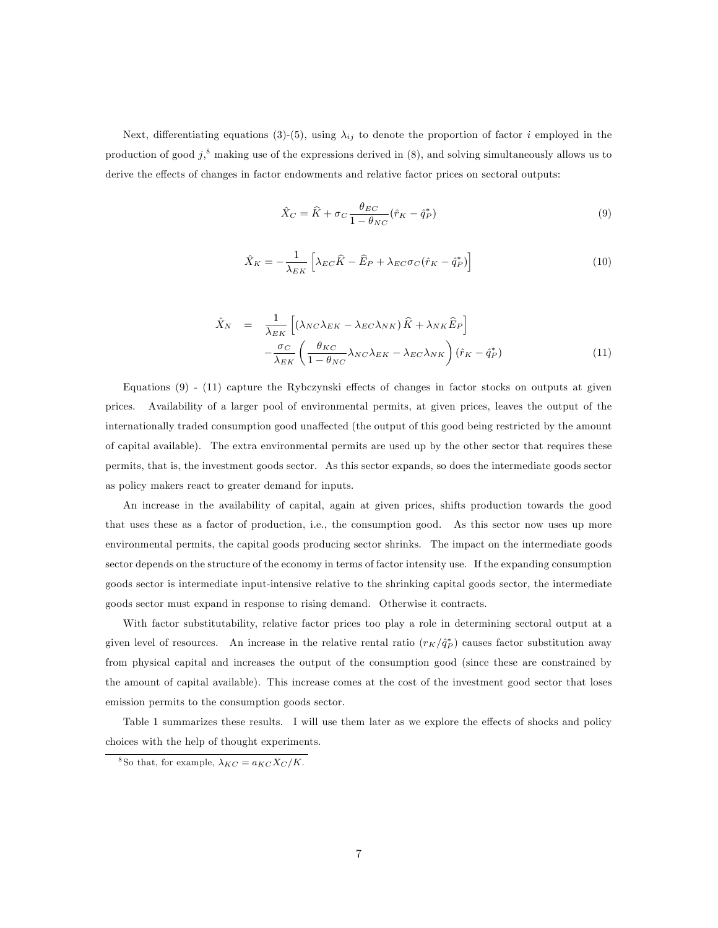Next, differentiating equations (3)-(5), using  $\lambda_{ij}$  to denote the proportion of factor i employed in the production of good  $j$ ,<sup>8</sup> making use of the expressions derived in  $(8)$ , and solving simultaneously allows us to derive the effects of changes in factor endowments and relative factor prices on sectoral outputs:

$$
\hat{X}_C = \hat{K} + \sigma_C \frac{\theta_{EC}}{1 - \theta_{NC}} (\hat{r}_K - \hat{q}_P^*)
$$
\n(9)

$$
\hat{X}_K = -\frac{1}{\lambda_{EK}} \left[ \lambda_{EC} \hat{K} - \hat{E}_P + \lambda_{EC} \sigma_C (\hat{r}_K - \hat{q}_P^*) \right]
$$
\n(10)

$$
\hat{X}_{N} = \frac{1}{\lambda_{EK}} \left[ \left( \lambda_{NC} \lambda_{EK} - \lambda_{EC} \lambda_{NK} \right) \hat{K} + \lambda_{NK} \hat{E}_{P} \right] \n- \frac{\sigma_{C}}{\lambda_{EK}} \left( \frac{\theta_{KC}}{1 - \theta_{NC}} \lambda_{NC} \lambda_{EK} - \lambda_{EC} \lambda_{NK} \right) \left( \hat{r}_{K} - \hat{q}_{P}^{*} \right)
$$
\n(11)

Equations  $(9)$  -  $(11)$  capture the Rybczynski effects of changes in factor stocks on outputs at given prices. Availability of a larger pool of environmental permits, at given prices, leaves the output of the internationally traded consumption good unaffected (the output of this good being restricted by the amount of capital available). The extra environmental permits are used up by the other sector that requires these permits, that is, the investment goods sector. As this sector expands, so does the intermediate goods sector as policy makers react to greater demand for inputs.

An increase in the availability of capital, again at given prices, shifts production towards the good that uses these as a factor of production, i.e., the consumption good. As this sector now uses up more environmental permits, the capital goods producing sector shrinks. The impact on the intermediate goods sector depends on the structure of the economy in terms of factor intensity use. If the expanding consumption goods sector is intermediate input-intensive relative to the shrinking capital goods sector, the intermediate goods sector must expand in response to rising demand. Otherwise it contracts.

With factor substitutability, relative factor prices too play a role in determining sectoral output at a given level of resources. An increase in the relative rental ratio  $(r_K/\hat{q}_P^*)$  causes factor substitution away from physical capital and increases the output of the consumption good (since these are constrained by the amount of capital available). This increase comes at the cost of the investment good sector that loses emission permits to the consumption goods sector.

Table 1 summarizes these results. I will use them later as we explore the effects of shocks and policy choices with the help of thought experiments.

<sup>&</sup>lt;sup>8</sup>So that, for example,  $\lambda_{KC} = a_{KC} X_C/K$ .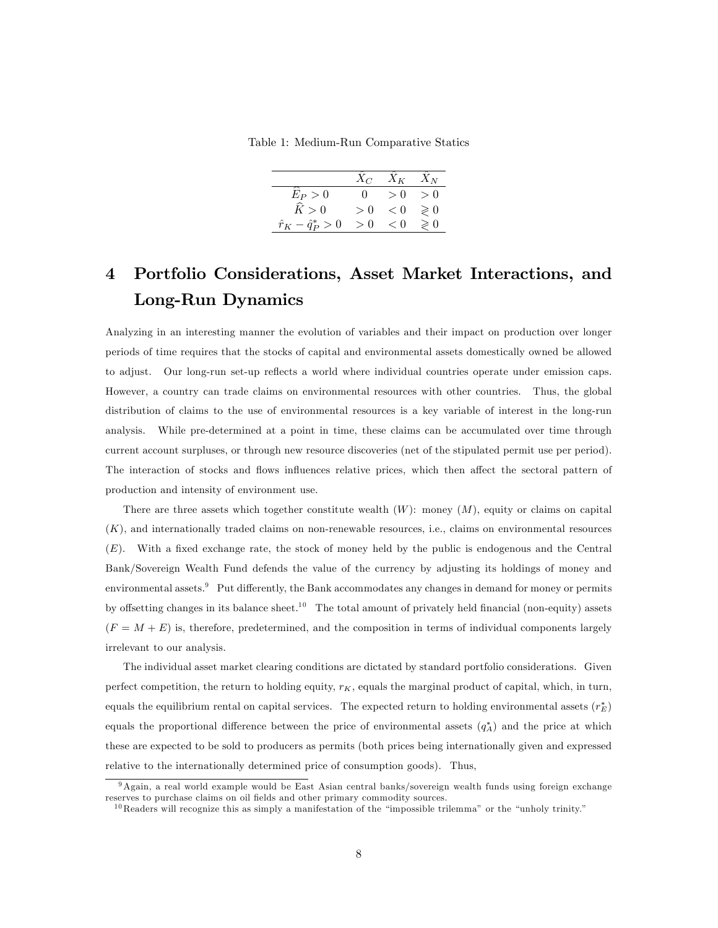Table 1: Medium-Run Comparative Statics

|                               |     | $X_K$ | $X_N$          |
|-------------------------------|-----|-------|----------------|
| $E_P > 0$                     |     | > 0   | > 0            |
| K>0                           | > 0 | < 0   | $\geqslant 0$  |
| $\hat{r}_K - \hat{q}_P^* > 0$ | > 0 | < 0   | $\geqslant$ () |

# 4 Portfolio Considerations, Asset Market Interactions, and Long-Run Dynamics

Analyzing in an interesting manner the evolution of variables and their impact on production over longer periods of time requires that the stocks of capital and environmental assets domestically owned be allowed to adjust. Our long-run set-up reflects a world where individual countries operate under emission caps. However, a country can trade claims on environmental resources with other countries. Thus, the global distribution of claims to the use of environmental resources is a key variable of interest in the long-run analysis. While pre-determined at a point in time, these claims can be accumulated over time through current account surpluses, or through new resource discoveries (net of the stipulated permit use per period). The interaction of stocks and flows influences relative prices, which then affect the sectoral pattern of production and intensity of environment use.

There are three assets which together constitute wealth  $(W)$ : money  $(M)$ , equity or claims on capital (K), and internationally traded claims on non-renewable resources, i.e., claims on environmental resources  $(E)$ . With a fixed exchange rate, the stock of money held by the public is endogenous and the Central Bank/Sovereign Wealth Fund defends the value of the currency by adjusting its holdings of money and environmental assets.<sup>9</sup> Put differently, the Bank accommodates any changes in demand for money or permits by offsetting changes in its balance sheet.<sup>10</sup> The total amount of privately held financial (non-equity) assets  $(F = M + E)$  is, therefore, predetermined, and the composition in terms of individual components largely irrelevant to our analysis.

The individual asset market clearing conditions are dictated by standard portfolio considerations. Given perfect competition, the return to holding equity,  $r_K$ , equals the marginal product of capital, which, in turn, equals the equilibrium rental on capital services. The expected return to holding environmental assets  $(r_E^*)$ equals the proportional difference between the price of environmental assets  $(q_A^*)$  and the price at which these are expected to be sold to producers as permits (both prices being internationally given and expressed relative to the internationally determined price of consumption goods). Thus,

<sup>&</sup>lt;sup>9</sup>Again, a real world example would be East Asian central banks/sovereign wealth funds using foreign exchange reserves to purchase claims on oil fields and other primary commodity sources.

 $10$ Readers will recognize this as simply a manifestation of the "impossible trilemma" or the "unholy trinity."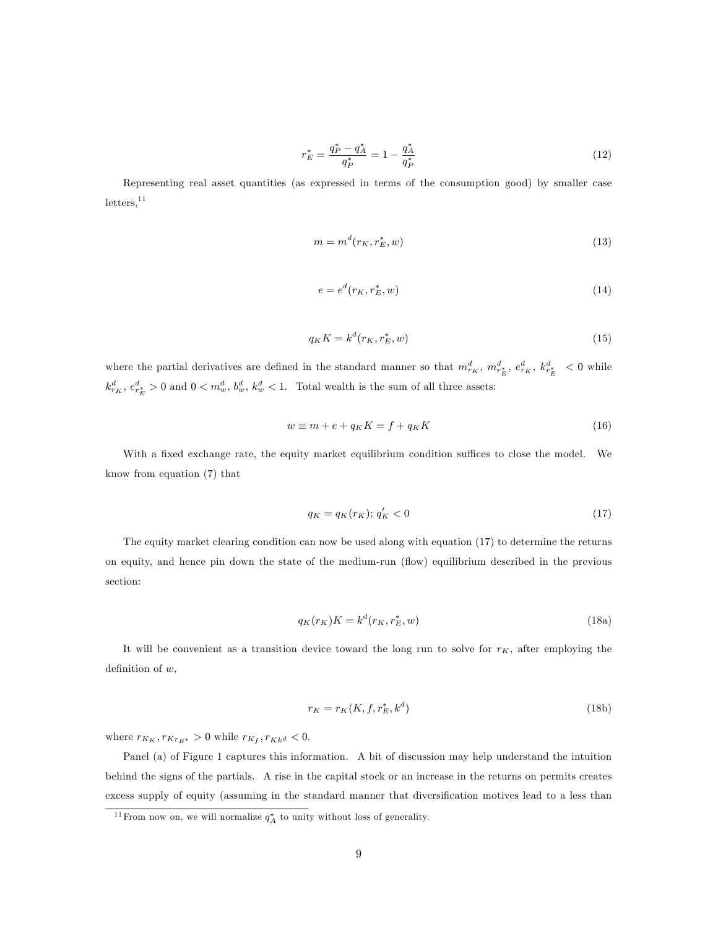$$
r_E^* = \frac{q_P^* - q_A^*}{q_P^*} = 1 - \frac{q_A^*}{q_P^*}
$$
\n(12)

Representing real asset quantities (as expressed in terms of the consumption good) by smaller case  $letters, <sup>11</sup>$ 

$$
m = m^d(r_K, r_E^*, w) \tag{13}
$$

$$
e = e^d(r_K, r_E^*, w) \tag{14}
$$

$$
q_K K = k^d(r_K, r_E^*, w) \tag{15}
$$

where the partial derivatives are defined in the standard manner so that  $m_{r_K}^d$ ,  $m_{r_E}^d$ ,  $e_{r_K}^d$ ,  $k_{r_E}^d$   $\lt 0$  while  $k_{r_K}^d$ ,  $e_{r_E^*}^d > 0$  and  $0 < m_w^d$ ,  $b_w^d$ ,  $k_w^d < 1$ . Total wealth is the sum of all three assets:

$$
w \equiv m + e + q_K K = f + q_K K \tag{16}
$$

With a fixed exchange rate, the equity market equilibrium condition suffices to close the model. We know from equation (7) that

$$
q_K = q_K(r_K); \, q'_K < 0 \tag{17}
$$

The equity market clearing condition can now be used along with equation (17) to determine the returns on equity, and hence pin down the state of the medium-run (áow) equilibrium described in the previous section:

$$
q_K(r_K)K = k^d(r_K, r_E^*, w)
$$
\n(18a)

It will be convenient as a transition device toward the long run to solve for  $r_K$ , after employing the definition of  $w$ ,

$$
r_K = r_K(K, f, r_E^*, k^d) \tag{18b}
$$

where  $r_{K_K}, r_{Kr_{E^*}} > 0$  while  $r_{K_f}, r_{Kk^d} < 0$ .

Panel (a) of Figure 1 captures this information. A bit of discussion may help understand the intuition behind the signs of the partials. A rise in the capital stock or an increase in the returns on permits creates excess supply of equity (assuming in the standard manner that diversification motives lead to a less than

<sup>&</sup>lt;sup>11</sup> From now on, we will normalize  $q_A^*$  to unity without loss of generality.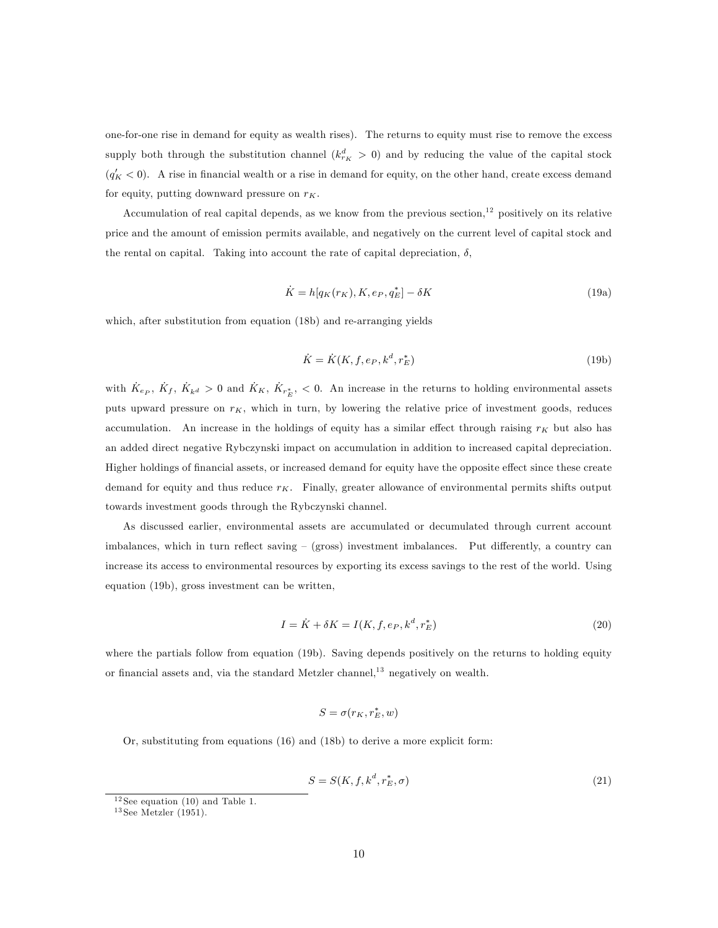one-for-one rise in demand for equity as wealth rises). The returns to equity must rise to remove the excess supply both through the substitution channel  $(k_{r_K}^d > 0)$  and by reducing the value of the capital stock  $(q'_K < 0)$ . A rise in financial wealth or a rise in demand for equity, on the other hand, create excess demand for equity, putting downward pressure on  $r_K$ .

Accumulation of real capital depends, as we know from the previous section,<sup>12</sup> positively on its relative price and the amount of emission permits available, and negatively on the current level of capital stock and the rental on capital. Taking into account the rate of capital depreciation,  $\delta$ ,

$$
\dot{K} = h[q_K(r_K), K, e_P, q_E^*] - \delta K \tag{19a}
$$

which, after substitution from equation (18b) and re-arranging yields

$$
\dot{K} = \dot{K}(K, f, e_P, k^d, r_E^*)
$$
\n(19b)

with  $\dot{K}_{e_p}$ ,  $\dot{K}_f$ ,  $\dot{K}_{k^d} > 0$  and  $\dot{K}_K$ ,  $\dot{K}_{r_E^*}$ ,  $< 0$ . An increase in the returns to holding environmental assets puts upward pressure on  $r_K$ , which in turn, by lowering the relative price of investment goods, reduces accumulation. An increase in the holdings of equity has a similar effect through raising  $r_K$  but also has an added direct negative Rybczynski impact on accumulation in addition to increased capital depreciation. Higher holdings of financial assets, or increased demand for equity have the opposite effect since these create demand for equity and thus reduce  $r_K$ . Finally, greater allowance of environmental permits shifts output towards investment goods through the Rybczynski channel.

As discussed earlier, environmental assets are accumulated or decumulated through current account imbalances, which in turn reflect saving  $-$  (gross) investment imbalances. Put differently, a country can increase its access to environmental resources by exporting its excess savings to the rest of the world. Using equation (19b), gross investment can be written,

$$
I = \dot{K} + \delta K = I(K, f, e_P, k^d, r_E^*)
$$
\n(20)

where the partials follow from equation (19b). Saving depends positively on the returns to holding equity or financial assets and, via the standard Metzler channel,<sup>13</sup> negatively on wealth.

$$
S = \sigma(r_K, r_E^*, w)
$$

Or, substituting from equations (16) and (18b) to derive a more explicit form:

$$
S = S(K, f, k^d, r_E^*, \sigma) \tag{21}
$$

 $12$  See equation (10) and Table 1.

 $13$  See Metzler (1951).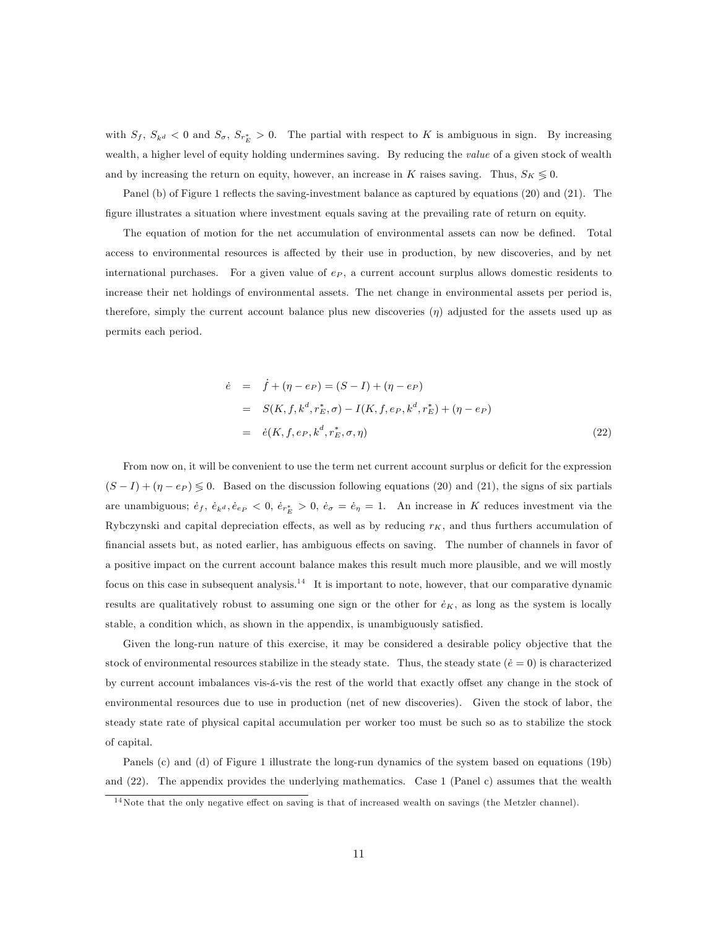with  $S_f$ ,  $S_{k^d} < 0$  and  $S_{\sigma}$ ,  $S_{r_E^*} > 0$ . The partial with respect to K is ambiguous in sign. By increasing wealth, a higher level of equity holding undermines saving. By reducing the value of a given stock of wealth and by increasing the return on equity, however, an increase in K raises saving. Thus,  $S_K \leq 0$ .

Panel (b) of Figure 1 reflects the saving-investment balance as captured by equations (20) and (21). The figure illustrates a situation where investment equals saving at the prevailing rate of return on equity.

The equation of motion for the net accumulation of environmental assets can now be defined. Total access to environmental resources is affected by their use in production, by new discoveries, and by net international purchases. For a given value of  $e_P$ , a current account surplus allows domestic residents to increase their net holdings of environmental assets. The net change in environmental assets per period is, therefore, simply the current account balance plus new discoveries  $(\eta)$  adjusted for the assets used up as permits each period.

$$
\begin{aligned}\n\dot{e} &= \dot{f} + (\eta - e_P) = (S - I) + (\eta - e_P) \\
&= S(K, f, k^d, r_E^*, \sigma) - I(K, f, e_P, k^d, r_E^*) + (\eta - e_P) \\
&= \dot{e}(K, f, e_P, k^d, r_E^*, \sigma, \eta)\n\end{aligned} \tag{22}
$$

From now on, it will be convenient to use the term net current account surplus or deficit for the expression  $(S-I) + (\eta - e_P) \leq 0$ . Based on the discussion following equations (20) and (21), the signs of six partials are unambiguous;  $\dot{e}_f$ ,  $\dot{e}_{k^d}$ ,  $\dot{e}_{e_P} < 0$ ,  $\dot{e}_{r_E^*} > 0$ ,  $\dot{e}_{\sigma} = \dot{e}_{\eta} = 1$ . An increase in K reduces investment via the Rybczynski and capital depreciation effects, as well as by reducing  $r_K$ , and thus furthers accumulation of financial assets but, as noted earlier, has ambiguous effects on saving. The number of channels in favor of a positive impact on the current account balance makes this result much more plausible, and we will mostly focus on this case in subsequent analysis.<sup>14</sup> It is important to note, however, that our comparative dynamic results are qualitatively robust to assuming one sign or the other for  $\dot{e}_K$ , as long as the system is locally stable, a condition which, as shown in the appendix, is unambiguously satisfied.

Given the long-run nature of this exercise, it may be considered a desirable policy objective that the stock of environmental resources stabilize in the steady state. Thus, the steady state  $(e = 0)$  is characterized by current account imbalances vis-á-vis the rest of the world that exactly offset any change in the stock of environmental resources due to use in production (net of new discoveries). Given the stock of labor, the steady state rate of physical capital accumulation per worker too must be such so as to stabilize the stock of capital.

Panels (c) and (d) of Figure 1 illustrate the long-run dynamics of the system based on equations (19b) and (22). The appendix provides the underlying mathematics. Case 1 (Panel c) assumes that the wealth

 $14$ Note that the only negative effect on saving is that of increased wealth on savings (the Metzler channel).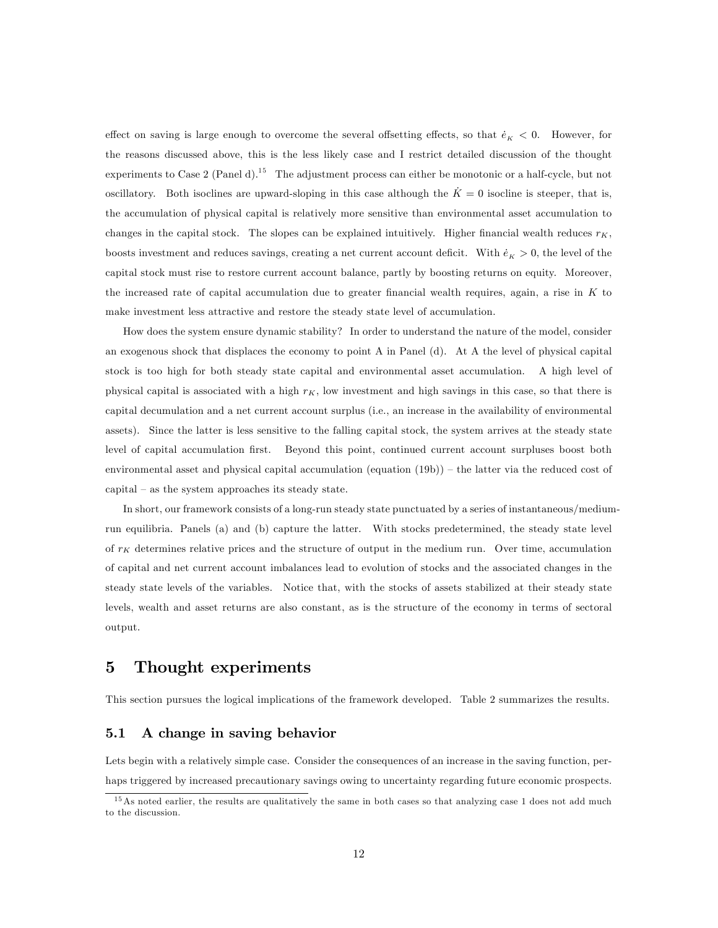effect on saving is large enough to overcome the several offsetting effects, so that  $\dot{e}_K < 0$ . However, for the reasons discussed above, this is the less likely case and I restrict detailed discussion of the thought experiments to Case 2 (Panel d).<sup>15</sup> The adjustment process can either be monotonic or a half-cycle, but not oscillatory. Both isoclines are upward-sloping in this case although the  $K = 0$  isocline is steeper, that is, the accumulation of physical capital is relatively more sensitive than environmental asset accumulation to changes in the capital stock. The slopes can be explained intuitively. Higher financial wealth reduces  $r_K$ , boosts investment and reduces savings, creating a net current account deficit. With  $\dot{e}_K > 0$ , the level of the capital stock must rise to restore current account balance, partly by boosting returns on equity. Moreover, the increased rate of capital accumulation due to greater financial wealth requires, again, a rise in  $K$  to make investment less attractive and restore the steady state level of accumulation.

How does the system ensure dynamic stability? In order to understand the nature of the model, consider an exogenous shock that displaces the economy to point A in Panel (d). At A the level of physical capital stock is too high for both steady state capital and environmental asset accumulation. A high level of physical capital is associated with a high  $r<sub>K</sub>$ , low investment and high savings in this case, so that there is capital decumulation and a net current account surplus (i.e., an increase in the availability of environmental assets). Since the latter is less sensitive to the falling capital stock, the system arrives at the steady state level of capital accumulation first. Beyond this point, continued current account surpluses boost both environmental asset and physical capital accumulation (equation  $(19b)$ ) – the latter via the reduced cost of capital  $-$  as the system approaches its steady state.

In short, our framework consists of a long-run steady state punctuated by a series of instantaneous/mediumrun equilibria. Panels (a) and (b) capture the latter. With stocks predetermined, the steady state level of  $r_K$  determines relative prices and the structure of output in the medium run. Over time, accumulation of capital and net current account imbalances lead to evolution of stocks and the associated changes in the steady state levels of the variables. Notice that, with the stocks of assets stabilized at their steady state levels, wealth and asset returns are also constant, as is the structure of the economy in terms of sectoral output.

## 5 Thought experiments

This section pursues the logical implications of the framework developed. Table 2 summarizes the results.

### 5.1 A change in saving behavior

Lets begin with a relatively simple case. Consider the consequences of an increase in the saving function, perhaps triggered by increased precautionary savings owing to uncertainty regarding future economic prospects.

<sup>&</sup>lt;sup>15</sup>As noted earlier, the results are qualitatively the same in both cases so that analyzing case 1 does not add much to the discussion.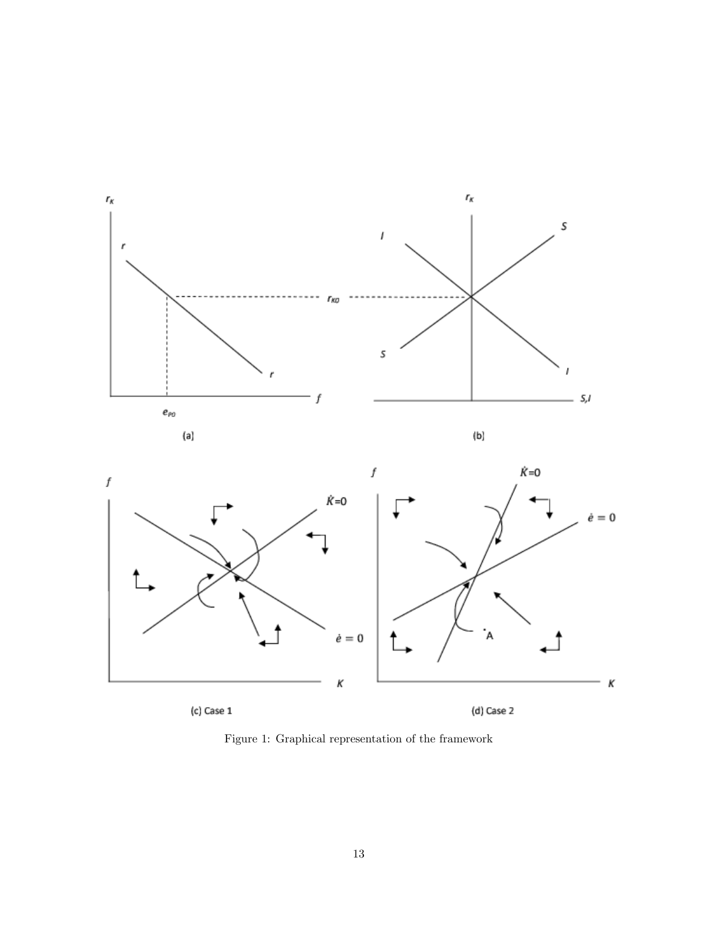



Figure 1: Graphical representation of the framework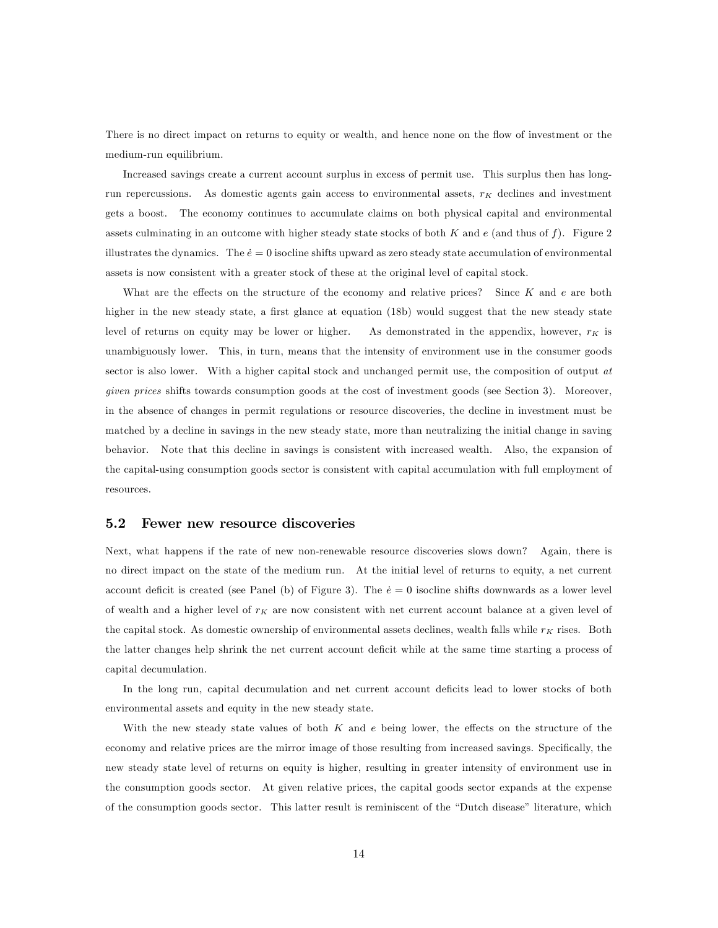There is no direct impact on returns to equity or wealth, and hence none on the flow of investment or the medium-run equilibrium.

Increased savings create a current account surplus in excess of permit use. This surplus then has longrun repercussions. As domestic agents gain access to environmental assets,  $r_K$  declines and investment gets a boost. The economy continues to accumulate claims on both physical capital and environmental assets culminating in an outcome with higher steady state stocks of both  $K$  and  $e$  (and thus of  $f$ ). Figure 2 illustrates the dynamics. The  $\dot{e} = 0$  isocline shifts upward as zero steady state accumulation of environmental assets is now consistent with a greater stock of these at the original level of capital stock.

What are the effects on the structure of the economy and relative prices? Since K and  $e$  are both higher in the new steady state, a first glance at equation (18b) would suggest that the new steady state level of returns on equity may be lower or higher. As demonstrated in the appendix, however,  $r_K$  is unambiguously lower. This, in turn, means that the intensity of environment use in the consumer goods sector is also lower. With a higher capital stock and unchanged permit use, the composition of output at given prices shifts towards consumption goods at the cost of investment goods (see Section 3). Moreover, in the absence of changes in permit regulations or resource discoveries, the decline in investment must be matched by a decline in savings in the new steady state, more than neutralizing the initial change in saving behavior. Note that this decline in savings is consistent with increased wealth. Also, the expansion of the capital-using consumption goods sector is consistent with capital accumulation with full employment of resources.

#### 5.2 Fewer new resource discoveries

Next, what happens if the rate of new non-renewable resource discoveries slows down? Again, there is no direct impact on the state of the medium run. At the initial level of returns to equity, a net current account deficit is created (see Panel (b) of Figure 3). The  $\dot{e} = 0$  isocline shifts downwards as a lower level of wealth and a higher level of  $r_K$  are now consistent with net current account balance at a given level of the capital stock. As domestic ownership of environmental assets declines, wealth falls while  $r_K$  rises. Both the latter changes help shrink the net current account deficit while at the same time starting a process of capital decumulation.

In the long run, capital decumulation and net current account deficits lead to lower stocks of both environmental assets and equity in the new steady state.

With the new steady state values of both  $K$  and  $e$  being lower, the effects on the structure of the economy and relative prices are the mirror image of those resulting from increased savings. Specifically, the new steady state level of returns on equity is higher, resulting in greater intensity of environment use in the consumption goods sector. At given relative prices, the capital goods sector expands at the expense of the consumption goods sector. This latter result is reminiscent of the "Dutch disease" literature, which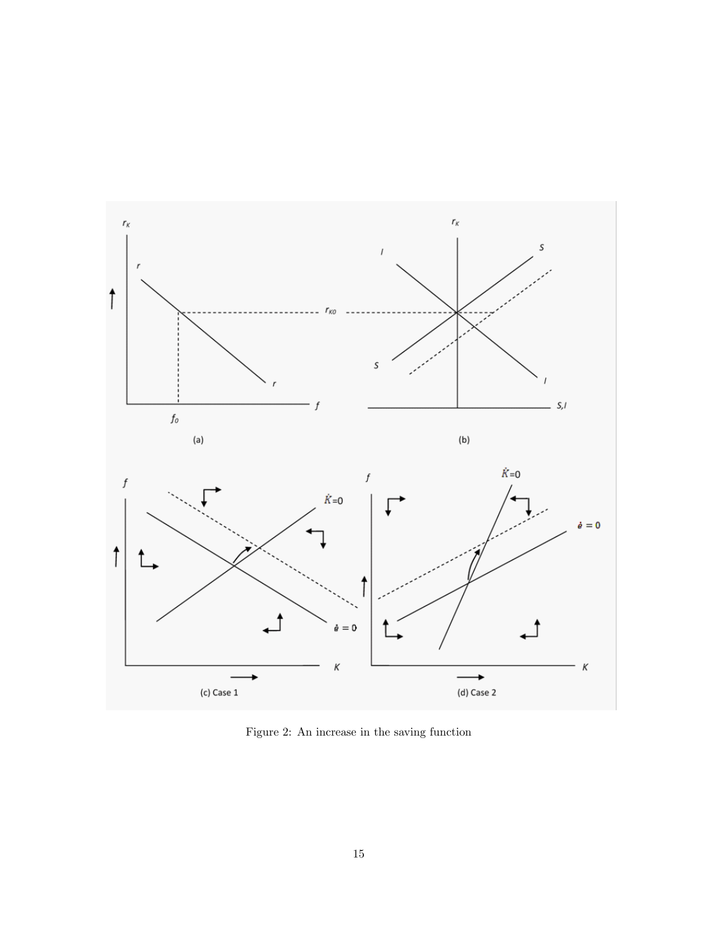

Figure 2: An increase in the saving function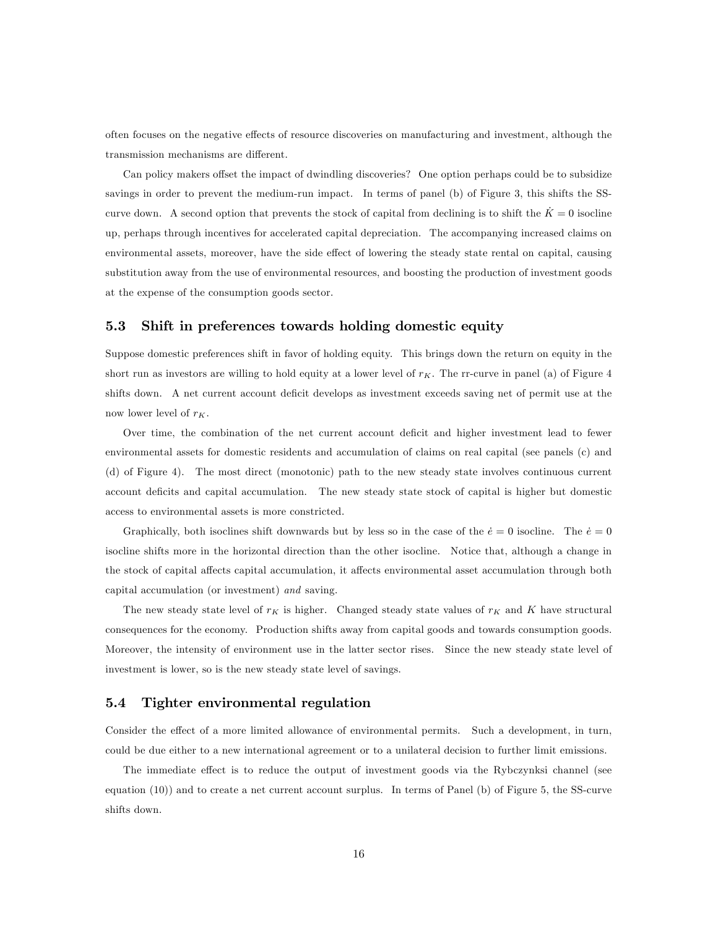often focuses on the negative effects of resource discoveries on manufacturing and investment, although the transmission mechanisms are different.

Can policy makers offset the impact of dwindling discoveries? One option perhaps could be to subsidize savings in order to prevent the medium-run impact. In terms of panel (b) of Figure 3, this shifts the SScurve down. A second option that prevents the stock of capital from declining is to shift the  $\dot{K} = 0$  isocline up, perhaps through incentives for accelerated capital depreciation. The accompanying increased claims on environmental assets, moreover, have the side effect of lowering the steady state rental on capital, causing substitution away from the use of environmental resources, and boosting the production of investment goods at the expense of the consumption goods sector.

### 5.3 Shift in preferences towards holding domestic equity

Suppose domestic preferences shift in favor of holding equity. This brings down the return on equity in the short run as investors are willing to hold equity at a lower level of  $r_K$ . The rr-curve in panel (a) of Figure 4 shifts down. A net current account deficit develops as investment exceeds saving net of permit use at the now lower level of  $r_K$ .

Over time, the combination of the net current account deficit and higher investment lead to fewer environmental assets for domestic residents and accumulation of claims on real capital (see panels (c) and (d) of Figure 4). The most direct (monotonic) path to the new steady state involves continuous current account deficits and capital accumulation. The new steady state stock of capital is higher but domestic access to environmental assets is more constricted.

Graphically, both isoclines shift downwards but by less so in the case of the  $\dot{e} = 0$  isocline. The  $\dot{e} = 0$ isocline shifts more in the horizontal direction than the other isocline. Notice that, although a change in the stock of capital affects capital accumulation, it affects environmental asset accumulation through both capital accumulation (or investment) and saving.

The new steady state level of  $r_K$  is higher. Changed steady state values of  $r_K$  and K have structural consequences for the economy. Production shifts away from capital goods and towards consumption goods. Moreover, the intensity of environment use in the latter sector rises. Since the new steady state level of investment is lower, so is the new steady state level of savings.

### 5.4 Tighter environmental regulation

Consider the effect of a more limited allowance of environmental permits. Such a development, in turn, could be due either to a new international agreement or to a unilateral decision to further limit emissions.

The immediate effect is to reduce the output of investment goods via the Rybczynksi channel (see equation (10)) and to create a net current account surplus. In terms of Panel (b) of Figure 5, the SS-curve shifts down.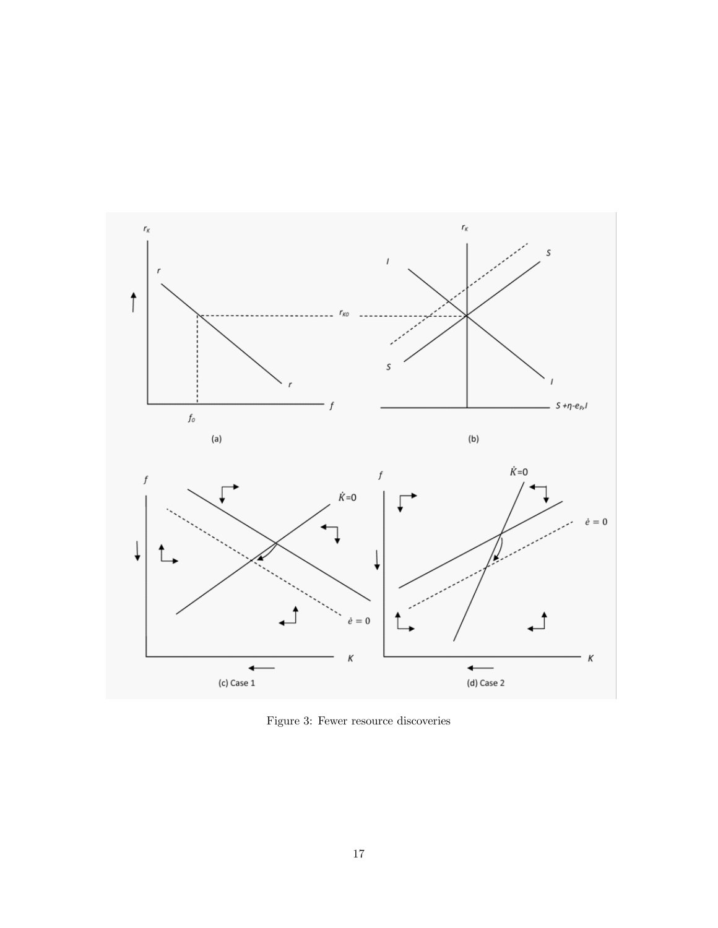

Figure 3: Fewer resource discoveries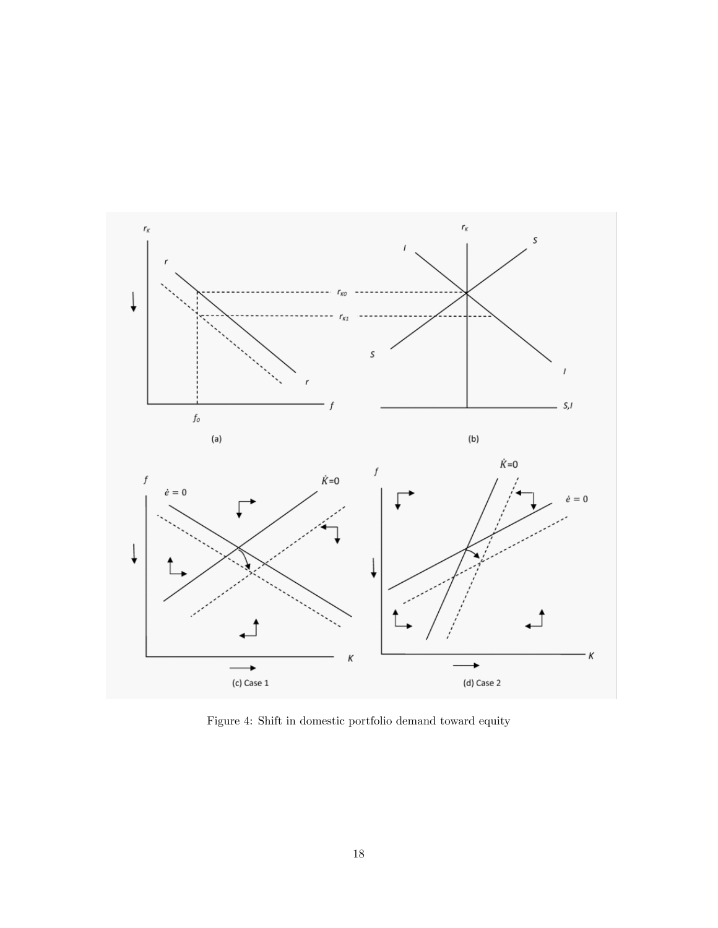

Figure 4: Shift in domestic portfolio demand toward equity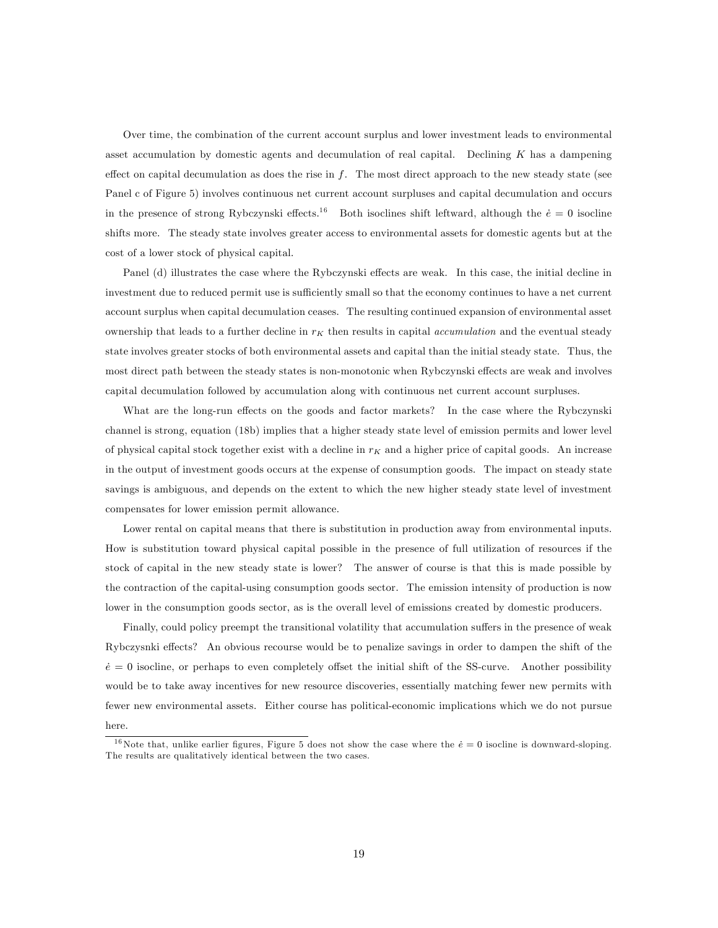Over time, the combination of the current account surplus and lower investment leads to environmental asset accumulation by domestic agents and decumulation of real capital. Declining  $K$  has a dampening effect on capital decumulation as does the rise in  $f$ . The most direct approach to the new steady state (see Panel c of Figure 5) involves continuous net current account surpluses and capital decumulation and occurs in the presence of strong Rybczynski effects.<sup>16</sup> Both isoclines shift leftward, although the  $\dot{e} = 0$  isocline shifts more. The steady state involves greater access to environmental assets for domestic agents but at the cost of a lower stock of physical capital.

Panel (d) illustrates the case where the Rybczynski effects are weak. In this case, the initial decline in investment due to reduced permit use is sufficiently small so that the economy continues to have a net current account surplus when capital decumulation ceases. The resulting continued expansion of environmental asset ownership that leads to a further decline in  $r_K$  then results in capital *accumulation* and the eventual steady state involves greater stocks of both environmental assets and capital than the initial steady state. Thus, the most direct path between the steady states is non-monotonic when Rybczynski effects are weak and involves capital decumulation followed by accumulation along with continuous net current account surpluses.

What are the long-run effects on the goods and factor markets? In the case where the Rybczynski channel is strong, equation (18b) implies that a higher steady state level of emission permits and lower level of physical capital stock together exist with a decline in  $r_K$  and a higher price of capital goods. An increase in the output of investment goods occurs at the expense of consumption goods. The impact on steady state savings is ambiguous, and depends on the extent to which the new higher steady state level of investment compensates for lower emission permit allowance.

Lower rental on capital means that there is substitution in production away from environmental inputs. How is substitution toward physical capital possible in the presence of full utilization of resources if the stock of capital in the new steady state is lower? The answer of course is that this is made possible by the contraction of the capital-using consumption goods sector. The emission intensity of production is now lower in the consumption goods sector, as is the overall level of emissions created by domestic producers.

Finally, could policy preempt the transitional volatility that accumulation suffers in the presence of weak Rybczysnki effects? An obvious recourse would be to penalize savings in order to dampen the shift of the  $\dot{e} = 0$  isocline, or perhaps to even completely offset the initial shift of the SS-curve. Another possibility would be to take away incentives for new resource discoveries, essentially matching fewer new permits with fewer new environmental assets. Either course has political-economic implications which we do not pursue

here.

<sup>&</sup>lt;sup>16</sup>Note that, unlike earlier figures, Figure 5 does not show the case where the  $\dot{e} = 0$  isocline is downward-sloping. The results are qualitatively identical between the two cases.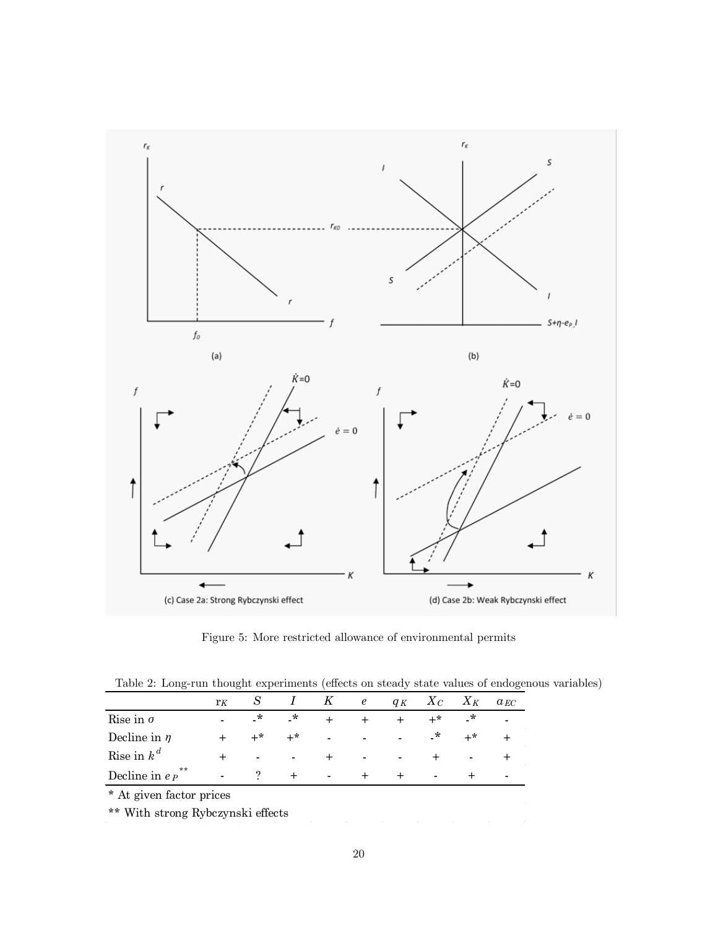

Figure 5: More restricted allowance of environmental permits

|  | Table 2: Long-run thought experiments (effects on steady state values of endogenous variables) |
|--|------------------------------------------------------------------------------------------------|
|  |                                                                                                |

|                                   | $r_K$           | S                        | $\mathbf{I}$ | K | $\epsilon$ | $q_K$          | $X_C$ | $X_K$ | $a_{EC}$ |
|-----------------------------------|-----------------|--------------------------|--------------|---|------------|----------------|-------|-------|----------|
| Rise in $\sigma$                  |                 | $\star$                  | _*_          |   |            |                | $+$ * | _*    |          |
| Decline in $\eta$                 |                 | $+$ *                    | $+^*$        |   |            | $\blacksquare$ | _*    | $+$ * |          |
| Rise in $k^d$                     | $^{\mathrm{+}}$ | $\overline{\phantom{0}}$ |              |   |            | $\blacksquare$ |       |       |          |
| **<br>Decline in $e_P$            |                 | ?                        | $\ddot{}$    |   | $+$        |                |       |       |          |
| * At given factor prices          |                 |                          |              |   |            |                |       |       |          |
| ** With strong Rybczynski effects |                 |                          |              |   |            |                |       |       |          |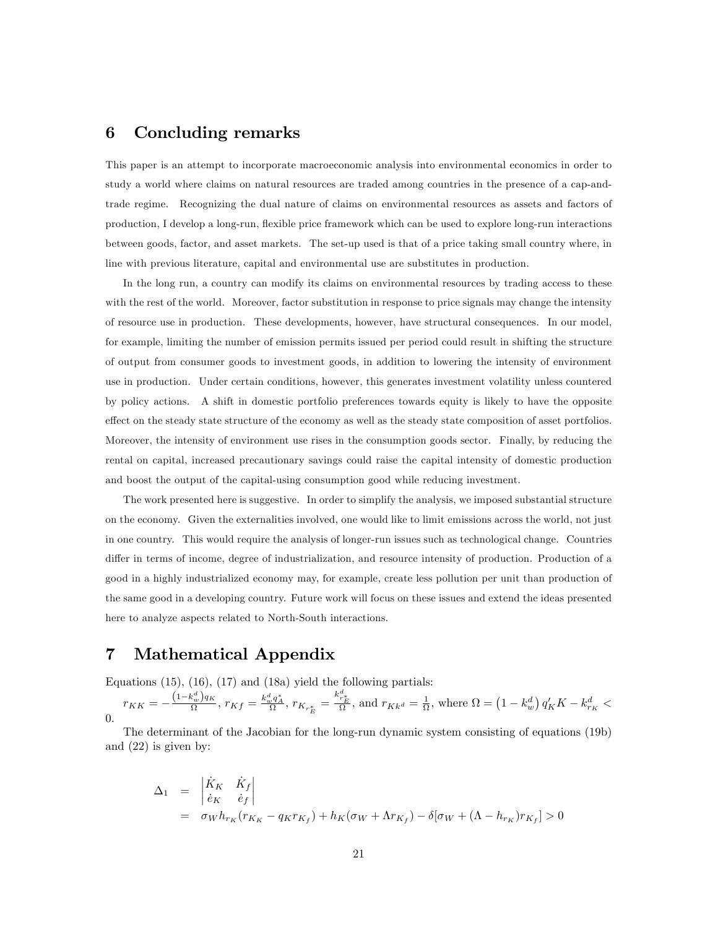### 6 Concluding remarks

This paper is an attempt to incorporate macroeconomic analysis into environmental economics in order to study a world where claims on natural resources are traded among countries in the presence of a cap-andtrade regime. Recognizing the dual nature of claims on environmental resources as assets and factors of production, I develop a long-run, áexible price framework which can be used to explore long-run interactions between goods, factor, and asset markets. The set-up used is that of a price taking small country where, in line with previous literature, capital and environmental use are substitutes in production.

In the long run, a country can modify its claims on environmental resources by trading access to these with the rest of the world. Moreover, factor substitution in response to price signals may change the intensity of resource use in production. These developments, however, have structural consequences. In our model, for example, limiting the number of emission permits issued per period could result in shifting the structure of output from consumer goods to investment goods, in addition to lowering the intensity of environment use in production. Under certain conditions, however, this generates investment volatility unless countered by policy actions. A shift in domestic portfolio preferences towards equity is likely to have the opposite effect on the steady state structure of the economy as well as the steady state composition of asset portfolios. Moreover, the intensity of environment use rises in the consumption goods sector. Finally, by reducing the rental on capital, increased precautionary savings could raise the capital intensity of domestic production and boost the output of the capital-using consumption good while reducing investment.

The work presented here is suggestive. In order to simplify the analysis, we imposed substantial structure on the economy. Given the externalities involved, one would like to limit emissions across the world, not just in one country. This would require the analysis of longer-run issues such as technological change. Countries differ in terms of income, degree of industrialization, and resource intensity of production. Production of a good in a highly industrialized economy may, for example, create less pollution per unit than production of the same good in a developing country. Future work will focus on these issues and extend the ideas presented here to analyze aspects related to North-South interactions.

## 7 Mathematical Appendix

Equations  $(15)$ ,  $(16)$ ,  $(17)$  and  $(18a)$  yield the following partials:

 $r_{KK} = -\frac{\left(1-k_w^d\right)q_K}{\Omega}$  $(\frac{k_w^d}{\Omega})q_K$ ,  $r_{Kf} = \frac{k_w^dq_A^*}{\Omega}$ ,  $r_{K_{r_E^*}} = \frac{k_{r_E^*}^d}{\Omega}$ , and  $r_{Kk^d} = \frac{1}{\Omega}$ , where  $\Omega = (1 - k_w^d) q_K' K - k_{r_K}^d <$ 0.

The determinant of the Jacobian for the long-run dynamic system consisting of equations (19b) and (22) is given by:

$$
\Delta_1 = \begin{vmatrix} \dot{K}_K & \dot{K}_f \\ \dot{e}_K & \dot{e}_f \end{vmatrix}
$$
  
=  $\sigma_W h_{r_K}(r_{K_K} - q_K r_{K_f}) + h_K(\sigma_W + \Lambda r_{K_f}) - \delta[\sigma_W + (\Lambda - h_{r_K})r_{K_f}] > 0$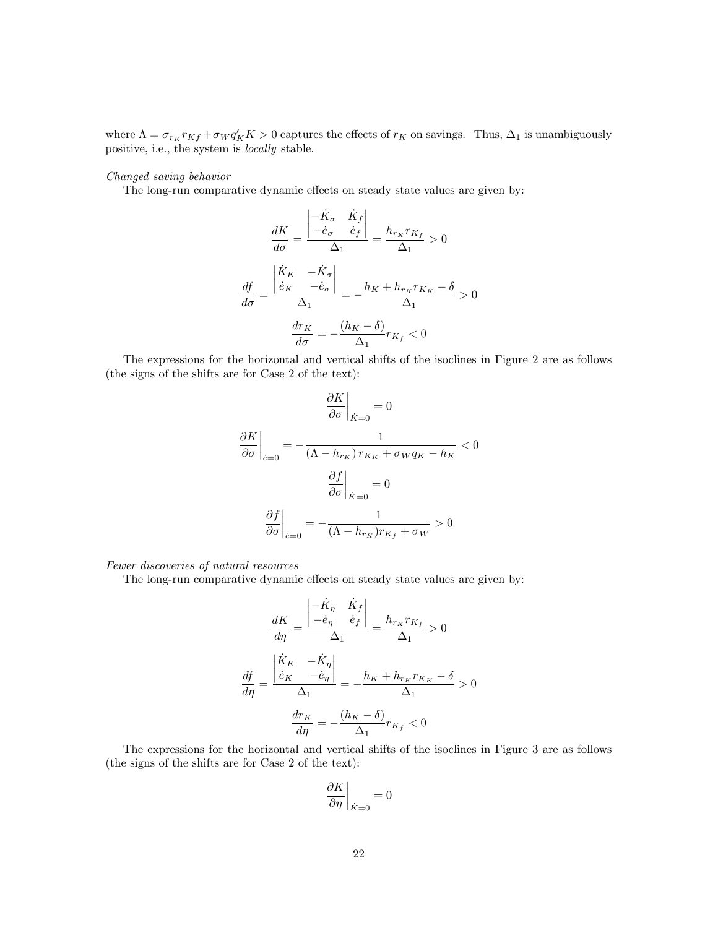where  $\Lambda = \sigma_{rK} r_{Kf} + \sigma_W q'_{K} K > 0$  captures the effects of  $r_K$  on savings. Thus,  $\Delta_1$  is unambiguously positive, i.e., the system is locally stable.

#### Changed saving behavior

The long-run comparative dynamic effects on steady state values are given by:

$$
\frac{dK}{d\sigma} = \frac{\begin{vmatrix} -\dot{K}_{\sigma} & \dot{K}_{f} \\ -\dot{e}_{\sigma} & \dot{e}_{f} \end{vmatrix}}{\Delta_{1}} = \frac{h_{r_{K}}r_{K_{f}}}{\Delta_{1}} > 0
$$

$$
\frac{df}{d\sigma} = \frac{\begin{vmatrix} \dot{K}_{K} & -\dot{K}_{\sigma} \\ \dot{e}_{K} & -\dot{e}_{\sigma} \end{vmatrix}}{\Delta_{1}} = -\frac{h_{K} + h_{r_{K}}r_{K_{K}} - \delta}{\Delta_{1}} > 0
$$

$$
\frac{dr_{K}}{d\sigma} = -\frac{(h_{K} - \delta)}{\Delta_{1}}r_{K_{f}} < 0
$$

The expressions for the horizontal and vertical shifts of the isoclines in Figure 2 are as follows (the signs of the shifts are for Case 2 of the text):

$$
\frac{\partial K}{\partial \sigma}\Big|_{\vec{k}=0} = 0
$$

$$
\frac{\partial K}{\partial \sigma}\Big|_{\vec{k}=0} = -\frac{1}{(\Lambda - h_{r_K}) r_{K_K} + \sigma_W q_K - h_K} < 0
$$

$$
\frac{\partial f}{\partial \sigma}\Big|_{\vec{k}=0} = 0
$$

$$
\frac{\partial f}{\partial \sigma}\Big|_{\vec{k}=0} = -\frac{1}{(\Lambda - h_{r_K}) r_{K_f} + \sigma_W} > 0
$$

Fewer discoveries of natural resources

The long-run comparative dynamic effects on steady state values are given by:

$$
\frac{dK}{d\eta} = \frac{\begin{vmatrix} -\dot{K}_{\eta} & \dot{K}_{f} \\ -\dot{e}_{\eta} & \dot{e}_{f} \end{vmatrix}}{\Delta_{1}} = \frac{h_{r_{K}}r_{K_{f}}}{\Delta_{1}} > 0
$$

$$
\frac{df}{d\eta} = \frac{\begin{vmatrix} \dot{K}_{K} & -\dot{K}_{\eta} \\ \dot{e}_{K} & -\dot{e}_{\eta} \end{vmatrix}}{\Delta_{1}} = -\frac{h_{K} + h_{r_{K}}r_{K_{K}} - \delta}{\Delta_{1}} > 0
$$

$$
\frac{dr_{K}}{d\eta} = -\frac{(h_{K} - \delta)}{\Delta_{1}}r_{K_{f}} < 0
$$

The expressions for the horizontal and vertical shifts of the isoclines in Figure 3 are as follows (the signs of the shifts are for Case 2 of the text):

$$
\left.\frac{\partial K}{\partial \eta}\right|_{\dot K=0}=0
$$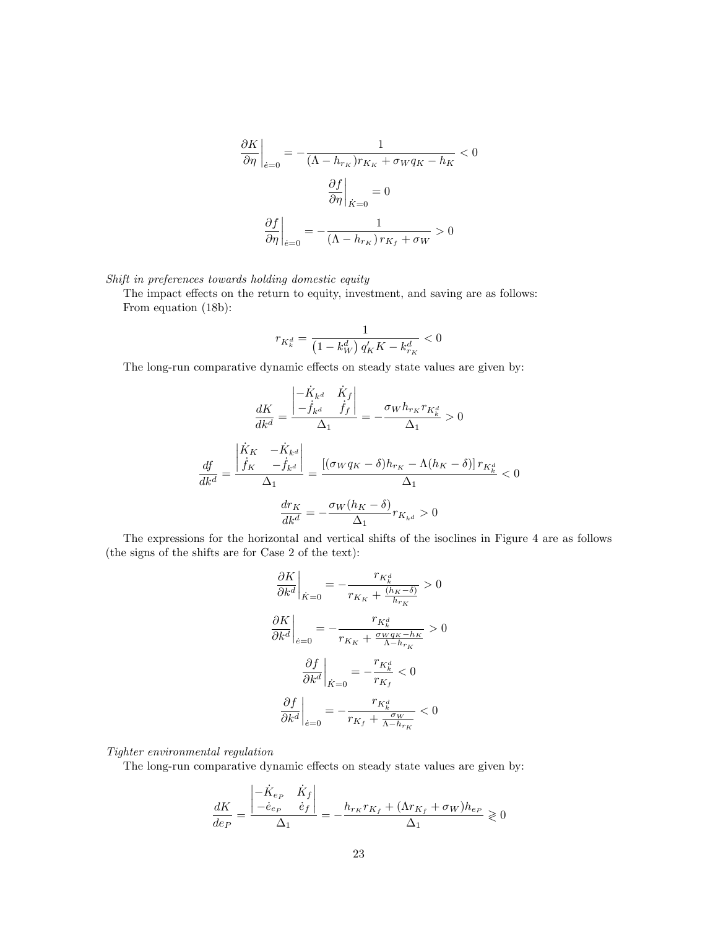$$
\frac{\partial K}{\partial \eta}\Big|_{\dot{e}=0} = -\frac{1}{(\Lambda - h_{r_K})r_{K_K} + \sigma_W q_K - h_K} < 0
$$

$$
\frac{\partial f}{\partial \eta}\Big|_{\dot{K}=0} = 0
$$

$$
\frac{\partial f}{\partial \eta}\Big|_{\dot{e}=0} = -\frac{1}{(\Lambda - h_{r_K})r_{K_f} + \sigma_W} > 0
$$

Shift in preferences towards holding domestic equity

The impact effects on the return to equity, investment, and saving are as follows: From equation (18b):

$$
r_{K^d_k}=\frac{1}{\left(1-k^d_W\right)q^\prime_KK-k^d_{r_K}}<0
$$

The long-run comparative dynamic effects on steady state values are given by:

$$
\frac{dK}{dk^d} = \frac{\begin{vmatrix} -\dot{K}_{k^d} & \dot{K}_f \\ -\dot{f}_{k^d} & \dot{f}_f \end{vmatrix}}{\Delta_1} = -\frac{\sigma_W h_{r_K} r_{K_k^d}}{\Delta_1} > 0
$$

$$
\frac{df}{dk^d} = \frac{\begin{vmatrix} \dot{K}_K & -\dot{K}_{k^d} \\ \dot{f}_K & -\dot{f}_{k^d} \end{vmatrix}}{\Delta_1} = \frac{\begin{vmatrix} (\sigma_W q_K - \delta) h_{r_K} - \Lambda (h_K - \delta) \end{vmatrix} r_{K_k^d}}{\Delta_1} < 0
$$

$$
\frac{dr_K}{dk^d} = -\frac{\sigma_W (h_K - \delta)}{\Delta_1} r_{K_{k^d}} > 0
$$

The expressions for the horizontal and vertical shifts of the isoclines in Figure 4 are as follows (the signs of the shifts are for Case 2 of the text):

$$
\begin{split} \left.\frac{\partial K}{\partial k^d}\right|_{\dot{K}=0} & = -\frac{r_{K^d_k}}{r_{K_K}+\frac{(h_K-\delta)}{h_{r_K}}}>0\\ \left.\frac{\partial K}{\partial k^d}\right|_{\dot{e}=0} & = -\frac{r_{K^d_k}}{r_{K_K}+\frac{\sigma_Wq_K-h_K}{\Lambda-h_{r_K}}} >0\\ \left.\frac{\partial f}{\partial k^d}\right|_{\dot{K}=0} & = -\frac{r_{K^d_k}}{r_{K_f}}<0\\ \left.\frac{\partial f}{\partial k^d}\right|_{\dot{e}=0} & = -\frac{r_{K^d_k}}{r_{K_f}+\frac{\sigma_W}{\Lambda-h_{r_K}}} <0\\ \end{split}
$$

Tighter environmental regulation

The long-run comparative dynamic effects on steady state values are given by:

$$
\frac{dK}{de_P} = \frac{\begin{vmatrix} -\dot{K}_{e_P} & \dot{K}_f \\ -\dot{e}_{e_P} & \dot{e}_f \end{vmatrix}}{\Delta_1} = -\frac{h_{r_K}r_{K_f} + (\Lambda r_{K_f} + \sigma_W)h_{e_P}}{\Delta_1} \gtrless 0
$$